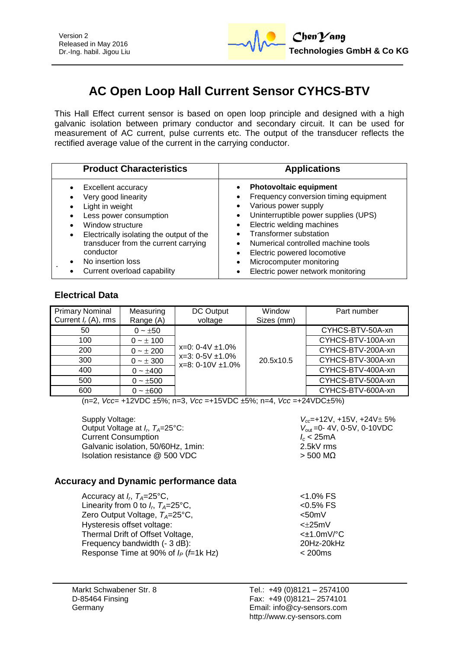

# **AC Open Loop Hall Current Sensor CYHCS-BTV**

This Hall Effect current sensor is based on open loop principle and designed with a high galvanic isolation between primary conductor and secondary circuit. It can be used for measurement of AC current, pulse currents etc. The output of the transducer reflects the rectified average value of the current in the carrying conductor.

| <b>Product Characteristics</b>                                                                                                                                                                                                                                  | <b>Applications</b>                                                                                                                                                                                                                                                                                                                              |
|-----------------------------------------------------------------------------------------------------------------------------------------------------------------------------------------------------------------------------------------------------------------|--------------------------------------------------------------------------------------------------------------------------------------------------------------------------------------------------------------------------------------------------------------------------------------------------------------------------------------------------|
| Excellent accuracy<br>Very good linearity<br>Light in weight<br>Less power consumption<br>Window structure<br>Electrically isolating the output of the<br>transducer from the current carrying<br>conductor<br>No insertion loss<br>Current overload capability | <b>Photovoltaic equipment</b><br>$\bullet$<br>Frequency conversion timing equipment<br>Various power supply<br>Uninterruptible power supplies (UPS)<br>Electric welding machines<br>Transformer substation<br>Numerical controlled machine tools<br>Electric powered locomotive<br>Microcomputer monitoring<br>Electric power network monitoring |

### **Electrical Data**

| <b>Primary Nominal</b><br>Current $I_r(A)$ , rms | Measuring<br>Range (A) | DC Output<br>voltage                                                     | Window<br>Sizes (mm) | Part number       |
|--------------------------------------------------|------------------------|--------------------------------------------------------------------------|----------------------|-------------------|
| 50                                               | $0 \sim \pm 50$        |                                                                          |                      | CYHCS-BTV-50A-xn  |
| 100                                              | $0 - \pm 100$          |                                                                          |                      | CYHCS-BTV-100A-xn |
| 200                                              | $0 - \pm 200$          | $x=0$ : 0-4V $\pm$ 1.0%<br>$x=3:0-5V \pm 1.0\%$<br>$x=8:0-10V \pm 1.0\%$ |                      | CYHCS-BTV-200A-xn |
| 300                                              | $0 - \pm 300$          |                                                                          | 20.5x10.5            | CYHCS-BTV-300A-xn |
| 400                                              | $0 - \pm 400$          |                                                                          |                      | CYHCS-BTV-400A-xn |
| 500                                              | $0 - \pm 500$          |                                                                          |                      | CYHCS-BTV-500A-xn |
| 600                                              | $0 - \pm 600$          |                                                                          |                      | CYHCS-BTV-600A-xn |

(n=2, *Vcc*= +12VDC ±5%; n=3, *Vcc* =+15VDC ±5%; n=4, *Vcc* =+24VDC±5%)

Supply Voltage: *V<sub>cc</sub>***=+12V, +15V, +24V** ± 5% Output Voltage at *I<sub>n</sub>*  $T_a=25^{\circ}$ C: Current Consumption *I<sub>c</sub>* **< 25mA**<br>Galvanic isolation. 50/60Hz. 1min: *Icc* 2.5kV rms Galvanic isolation, 50/60Hz, 1min: Isolation resistance  $\textcircled{2}$  500 VDC  $>$  500 MΩ

*V*<sub>out</sub> = 0- 4V, 0-5V, 0-10VDC<br>*I<sub>c</sub>* < 25mA

### **Accuracy and Dynamic performance data**

| Accuracy at $I_r$ , $T_A = 25$ °C,                  | $< 1.0\%$ FS          |
|-----------------------------------------------------|-----------------------|
| Linearity from 0 to $I_{r}$ , $T_{A}=25^{\circ}$ C, | $< 0.5%$ FS           |
| Zero Output Voltage, $T_A = 25^{\circ}C$ ,          | $< 50$ m $V$          |
| Hysteresis offset voltage:                          | $<\pm 25$ mV          |
| Thermal Drift of Offset Voltage,                    | $\leq$ $\pm$ 1.0mV/°C |
| Frequency bandwidth (- 3 dB):                       | 20Hz-20kHz            |
| Response Time at 90% of $I_P$ ( $f=1k$ Hz)          | $<$ 200 $ms$          |